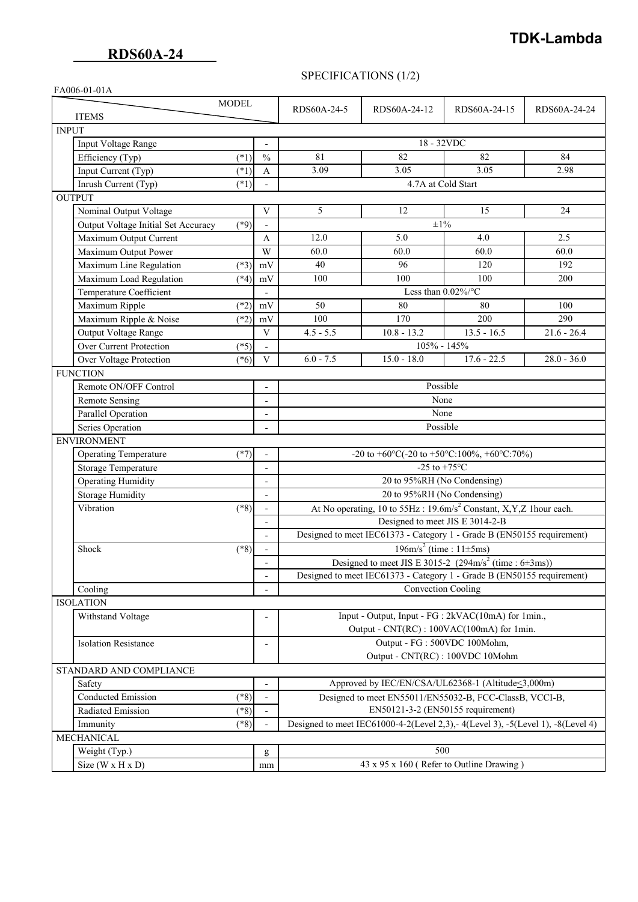# **TDK-Lambda**

### SPECIFICATIONS (1/2)

| FA006-01-01A            |                                               |                          |                                                                                         |                    |               |               |  |
|-------------------------|-----------------------------------------------|--------------------------|-----------------------------------------------------------------------------------------|--------------------|---------------|---------------|--|
|                         | <b>MODEL</b>                                  |                          | RDS60A-24-5                                                                             | RDS60A-24-12       | RDS60A-24-15  | RDS60A-24-24  |  |
|                         | <b>ITEMS</b>                                  |                          |                                                                                         |                    |               |               |  |
|                         | <b>INPUT</b>                                  |                          |                                                                                         |                    |               |               |  |
|                         | Input Voltage Range                           |                          | 18 - 32VDC                                                                              |                    |               |               |  |
|                         | Efficiency (Typ)<br>$(*1)$                    | $\frac{0}{0}$            | 81                                                                                      | 82                 | 82            | 84            |  |
|                         | Input Current (Typ)<br>$(*1)$                 | $\mathbf{A}$             | 3.09                                                                                    | 3.05               | 3.05          | 2.98          |  |
|                         | Inrush Current (Typ)<br>$(*1)$                |                          |                                                                                         | 4.7A at Cold Start |               |               |  |
| <b>OUTPUT</b>           |                                               |                          |                                                                                         |                    |               |               |  |
|                         | Nominal Output Voltage                        | V                        | 5                                                                                       | 12                 | 15            | 24            |  |
|                         | Output Voltage Initial Set Accuracy<br>$(*9)$ |                          |                                                                                         | $\pm 1\%$          |               |               |  |
|                         | Maximum Output Current                        | A                        | 12.0                                                                                    | 5.0                | 4.0           | 2.5           |  |
|                         | Maximum Output Power                          | W                        | 60.0                                                                                    | 60.0               | 60.0          | 60.0          |  |
|                         | Maximum Line Regulation<br>$(*3)$             | mV                       | 40                                                                                      | 96                 | 120           | 192           |  |
|                         | Maximum Load Regulation<br>$(*4)$             | mV                       | 100                                                                                     | 100                | 100           | 200           |  |
|                         | Temperature Coefficient                       |                          | Less than $0.02\%$ /°C                                                                  |                    |               |               |  |
|                         | Maximum Ripple<br>$(*2)$                      | mV                       | 50                                                                                      | 80                 | 80            | 100           |  |
|                         | Maximum Ripple & Noise<br>$(*2)$              | mV                       | 100                                                                                     | 170                | 200           | 290           |  |
|                         | Output Voltage Range                          | $\mathbf{V}$             | $4.5 - 5.5$                                                                             | $10.8 - 13.2$      | $13.5 - 16.5$ | $21.6 - 26.4$ |  |
|                         | Over Current Protection<br>$(*5)$             |                          | 105% - 145%                                                                             |                    |               |               |  |
|                         | Over Voltage Protection<br>$(*6)$             | V                        | $6.0 - 7.5$                                                                             | $15.0 - 18.0$      | $17.6 - 22.5$ | $28.0 - 36.0$ |  |
| <b>FUNCTION</b>         |                                               |                          |                                                                                         |                    |               |               |  |
|                         | Remote ON/OFF Control                         |                          | Possible<br>None<br>None                                                                |                    |               |               |  |
|                         | Remote Sensing                                | $\overline{\phantom{a}}$ |                                                                                         |                    |               |               |  |
|                         | Parallel Operation                            |                          |                                                                                         |                    |               |               |  |
|                         | Series Operation                              |                          | Possible                                                                                |                    |               |               |  |
|                         | <b>ENVIRONMENT</b>                            |                          |                                                                                         |                    |               |               |  |
|                         | Operating Temperature<br>$(*7)$               |                          | -20 to +60°C(-20 to +50°C:100%, +60°C:70%)                                              |                    |               |               |  |
|                         | <b>Storage Temperature</b>                    | $\overline{\phantom{a}}$ | -25 to +75 $^{\circ}$ C                                                                 |                    |               |               |  |
|                         | <b>Operating Humidity</b>                     |                          | 20 to 95%RH (No Condensing)                                                             |                    |               |               |  |
|                         | <b>Storage Humidity</b>                       | $\overline{\phantom{a}}$ | 20 to 95%RH (No Condensing)                                                             |                    |               |               |  |
|                         | Vibration<br>$(*8)$                           | $\overline{\phantom{a}}$ | At No operating, 10 to $55\text{Hz}$ : 19.6m/s <sup>2</sup> Constant, X,Y,Z 1hour each. |                    |               |               |  |
|                         |                                               | $\overline{\phantom{a}}$ | Designed to meet JIS E 3014-2-B                                                         |                    |               |               |  |
|                         |                                               |                          | Designed to meet IEC61373 - Category 1 - Grade B (EN50155 requirement)                  |                    |               |               |  |
|                         | Shock<br>$(*8)$                               |                          | $196 \text{m/s}^2$ (time : $11 \pm 5 \text{ms}$ )                                       |                    |               |               |  |
|                         |                                               |                          | Designed to meet JIS E 3015-2 $(294 \text{m/s}^2 \text{ (time}: 6 \pm 3 \text{ms}))$    |                    |               |               |  |
|                         |                                               |                          | Designed to meet IEC61373 - Category 1 - Grade B (EN50155 requirement)                  |                    |               |               |  |
|                         | Cooling                                       |                          | Convection Cooling                                                                      |                    |               |               |  |
| <b>ISOLATION</b>        |                                               |                          |                                                                                         |                    |               |               |  |
|                         | Withstand Voltage                             | $\overline{a}$           | Input - Output, Input - FG : 2kVAC(10mA) for 1min.,                                     |                    |               |               |  |
|                         |                                               |                          | Output - CNT(RC) : 100VAC(100mA) for 1min.<br>Output - FG: 500VDC 100Mohm,              |                    |               |               |  |
|                         | <b>Isolation Resistance</b>                   | $\overline{\phantom{a}}$ |                                                                                         |                    |               |               |  |
|                         |                                               |                          | Output - CNT(RC) : 100VDC 10Mohm                                                        |                    |               |               |  |
| STANDARD AND COMPLIANCE |                                               |                          |                                                                                         |                    |               |               |  |
|                         | Safety                                        |                          | Approved by IEC/EN/CSA/UL62368-1 (Altitude < 3,000m)                                    |                    |               |               |  |
|                         | <b>Conducted Emission</b><br>$(*8)$           |                          | Designed to meet EN55011/EN55032-B, FCC-ClassB, VCCI-B,                                 |                    |               |               |  |
|                         | Radiated Emission<br>$(*8)$                   |                          | EN50121-3-2 (EN50155 requirement)                                                       |                    |               |               |  |
|                         | $(*8)$<br>Immunity                            |                          | Designed to meet IEC61000-4-2(Level 2,3), -4(Level 3), -5(Level 1), -8(Level 4)         |                    |               |               |  |
|                         | MECHANICAL                                    |                          |                                                                                         |                    |               |               |  |
|                         | Weight (Typ.)                                 | g                        | 500                                                                                     |                    |               |               |  |
|                         | Size $(W \times H \times D)$                  | mm                       | 43 x 95 x 160 (Refer to Outline Drawing)                                                |                    |               |               |  |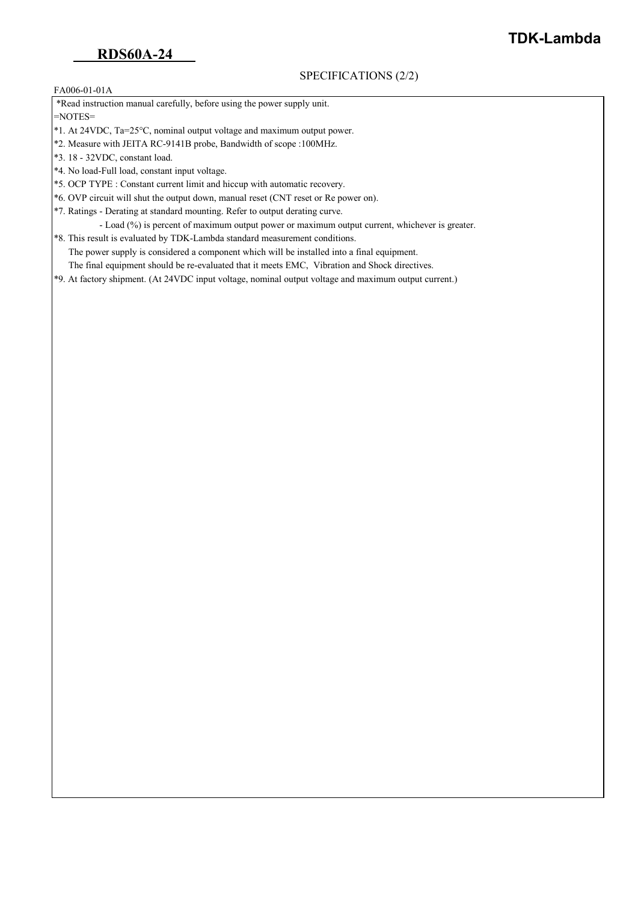### SPECIFICATIONS (2/2)

### FA006-01-01A

\*Read instruction manual carefully, before using the power supply unit.

=NOTES=

- \*1. At 24VDC, Ta=25°C, nominal output voltage and maximum output power.
- \*2. Measure with JEITA RC-9141B probe, Bandwidth of scope :100MHz.
- \*3. 18 32VDC, constant load.
- \*4. No load-Full load, constant input voltage.
- \*5. OCP TYPE : Constant current limit and hiccup with automatic recovery.
- \*6. OVP circuit will shut the output down, manual reset (CNT reset or Re power on).
- \*7. Ratings Derating at standard mounting. Refer to output derating curve.
	- Load (%) is percent of maximum output power or maximum output current, whichever is greater.
- \*8. This result is evaluated by TDK-Lambda standard measurement conditions. The power supply is considered a component which will be installed into a final equipment. The final equipment should be re-evaluated that it meets EMC, Vibration and Shock directives.
- \*9. At factory shipment. (At 24VDC input voltage, nominal output voltage and maximum output current.)